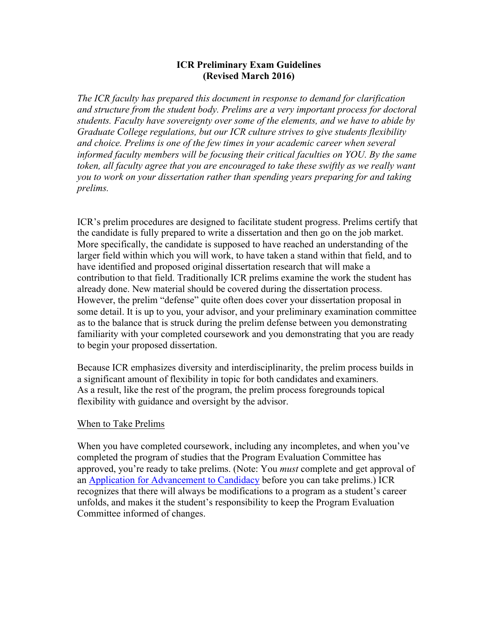# **ICR Preliminary Exam Guidelines (Revised March 2016)**

*The ICR faculty has prepared this document in response to demand for clarification and structure from the student body. Prelims are a very important process for doctoral students. Faculty have sovereignty over some of the elements, and we have to abide by Graduate College regulations, but our ICR culture strives to give students flexibility and choice. Prelims is one of the few times in your academic career when several informed faculty members will be focusing their critical faculties on YOU. By the same token, all faculty agree that you are encouraged to take these swiftly as we really want you to work on your dissertation rather than spending years preparing for and taking prelims.*

ICR's prelim procedures are designed to facilitate student progress. Prelims certify that the candidate is fully prepared to write a dissertation and then go on the job market. More specifically, the candidate is supposed to have reached an understanding of the larger field within which you will work, to have taken a stand within that field, and to have identified and proposed original dissertation research that will make a contribution to that field. Traditionally ICR prelims examine the work the student has already done. New material should be covered during the dissertation process. However, the prelim "defense" quite often does cover your dissertation proposal in some detail. It is up to you, your advisor, and your preliminary examination committee as to the balance that is struck during the prelim defense between you demonstrating familiarity with your completed coursework and you demonstrating that you are ready to begin your proposed dissertation.

Because ICR emphasizes diversity and interdisciplinarity, the prelim process builds in a significant amount of flexibility in topic for both candidates and examiners. As a result, like the rest of the program, the prelim process foregrounds topical flexibility with guidance and oversight by the advisor.

# When to Take Prelims

When you have completed coursework, including any incompletes, and when you've completed the program of studies that the Program Evaluation Committee has approved, you're ready to take prelims. (Note: You *must* complete and get approval of an Application for Advancement to Candidacy before you can take prelims.) ICR recognizes that there will always be modifications to a program as a student's career unfolds, and makes it the student's responsibility to keep the Program Evaluation Committee informed of changes.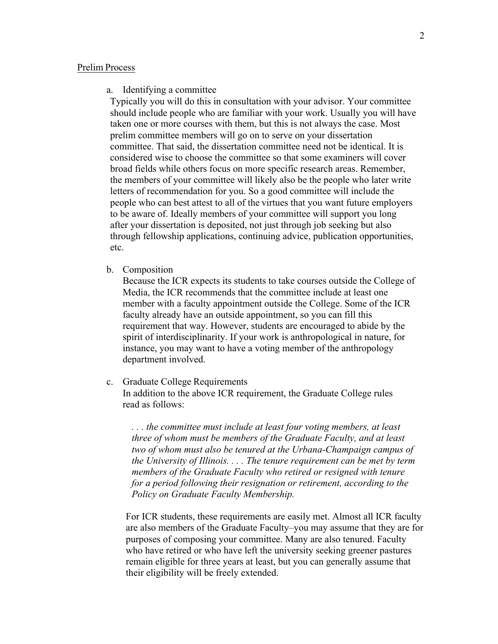### Prelim Process

#### a. Identifying a committee

Typically you will do this in consultation with your advisor. Your committee should include people who are familiar with your work. Usually you will have taken one or more courses with them, but this is not always the case. Most prelim committee members will go on to serve on your dissertation committee. That said, the dissertation committee need not be identical. It is considered wise to choose the committee so that some examiners will cover broad fields while others focus on more specific research areas. Remember, the members of your committee will likely also be the people who later write letters of recommendation for you. So a good committee will include the people who can best attest to all of the virtues that you want future employers to be aware of. Ideally members of your committee will support you long after your dissertation is deposited, not just through job seeking but also through fellowship applications, continuing advice, publication opportunities, etc.

b. Composition

Because the ICR expects its students to take courses outside the College of Media, the ICR recommends that the committee include at least one member with a faculty appointment outside the College. Some of the ICR faculty already have an outside appointment, so you can fill this requirement that way. However, students are encouraged to abide by the spirit of interdisciplinarity. If your work is anthropological in nature, for instance, you may want to have a voting member of the anthropology department involved.

c. Graduate College Requirements

In addition to the above ICR requirement, the Graduate College rules read as follows:

*. . . the committee must include at least four voting members, at least three of whom must be members of the Graduate Faculty, and at least two of whom must also be tenured at the Urbana-Champaign campus of the University of Illinois. . . . The tenure requirement can be met by term members of the Graduate Faculty who retired or resigned with tenure for a period following their resignation or retirement, according to the Policy on Graduate Faculty Membership.*

For ICR students, these requirements are easily met. Almost all ICR faculty are also members of the Graduate Faculty–you may assume that they are for purposes of composing your committee. Many are also tenured. Faculty who have retired or who have left the university seeking greener pastures remain eligible for three years at least, but you can generally assume that their eligibility will be freely extended.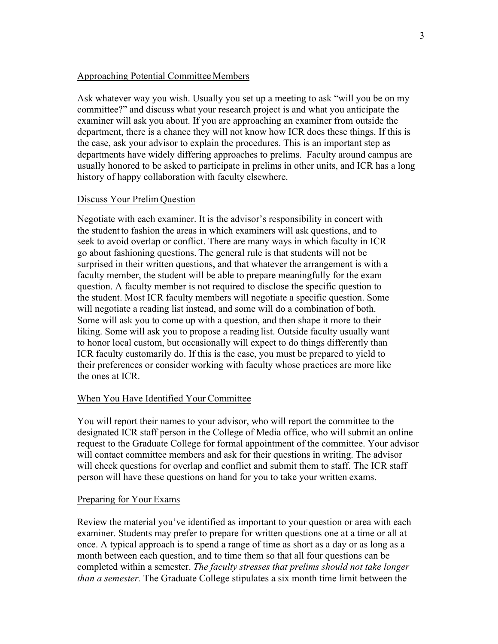### Approaching Potential Committee Members

Ask whatever way you wish. Usually you set up a meeting to ask "will you be on my committee?" and discuss what your research project is and what you anticipate the examiner will ask you about. If you are approaching an examiner from outside the department, there is a chance they will not know how ICR does these things. If this is the case, ask your advisor to explain the procedures. This is an important step as departments have widely differing approaches to prelims. Faculty around campus are usually honored to be asked to participate in prelims in other units, and ICR has a long history of happy collaboration with faculty elsewhere.

# Discuss Your Prelim Question

Negotiate with each examiner. It is the advisor's responsibility in concert with the studentto fashion the areas in which examiners will ask questions, and to seek to avoid overlap or conflict. There are many ways in which faculty in ICR go about fashioning questions. The general rule is that students will not be surprised in their written questions, and that whatever the arrangement is with a faculty member, the student will be able to prepare meaningfully for the exam question. A faculty member is not required to disclose the specific question to the student. Most ICR faculty members will negotiate a specific question. Some will negotiate a reading list instead, and some will do a combination of both. Some will ask you to come up with a question, and then shape it more to their liking. Some will ask you to propose a reading list. Outside faculty usually want to honor local custom, but occasionally will expect to do things differently than ICR faculty customarily do. If this is the case, you must be prepared to yield to their preferences or consider working with faculty whose practices are more like the ones at ICR.

### When You Have Identified Your Committee

You will report their names to your advisor, who will report the committee to the designated ICR staff person in the College of Media office, who will submit an online request to the Graduate College for formal appointment of the committee. Your advisor will contact committee members and ask for their questions in writing. The advisor will check questions for overlap and conflict and submit them to staff. The ICR staff person will have these questions on hand for you to take your written exams.

### Preparing for Your Exams

Review the material you've identified as important to your question or area with each examiner. Students may prefer to prepare for written questions one at a time or all at once. A typical approach is to spend a range of time as short as a day or as long as a month between each question, and to time them so that all four questions can be completed within a semester. *The faculty stresses that prelims should not take longer than a semester.* The Graduate College stipulates a six month time limit between the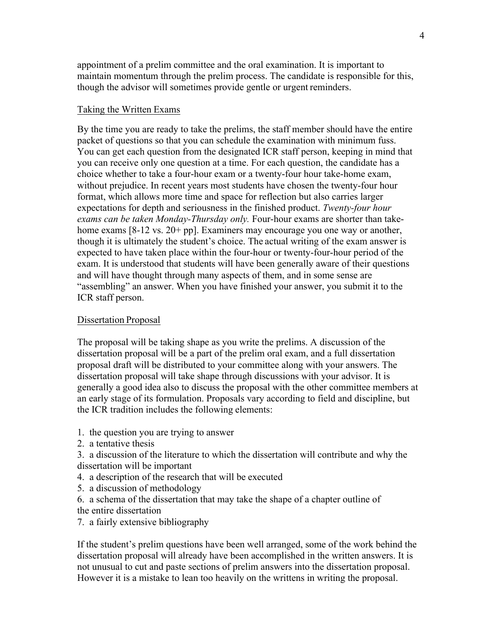appointment of a prelim committee and the oral examination. It is important to maintain momentum through the prelim process. The candidate is responsible for this, though the advisor will sometimes provide gentle or urgent reminders.

### Taking the Written Exams

By the time you are ready to take the prelims, the staff member should have the entire packet of questions so that you can schedule the examination with minimum fuss. You can get each question from the designated ICR staff person, keeping in mind that you can receive only one question at a time. For each question, the candidate has a choice whether to take a four-hour exam or a twenty-four hour take-home exam, without prejudice. In recent years most students have chosen the twenty-four hour format, which allows more time and space for reflection but also carries larger expectations for depth and seriousness in the finished product. *Twenty-four hour exams can be taken Monday-Thursday only.* Four-hour exams are shorter than takehome exams [8-12 vs. 20+ pp]. Examiners may encourage you one way or another, though it is ultimately the student's choice. The actual writing of the exam answer is expected to have taken place within the four-hour or twenty-four-hour period of the exam. It is understood that students will have been generally aware of their questions and will have thought through many aspects of them, and in some sense are "assembling" an answer. When you have finished your answer, you submit it to the ICR staff person.

### Dissertation Proposal

The proposal will be taking shape as you write the prelims. A discussion of the dissertation proposal will be a part of the prelim oral exam, and a full dissertation proposal draft will be distributed to your committee along with your answers. The dissertation proposal will take shape through discussions with your advisor. It is generally a good idea also to discuss the proposal with the other committee members at an early stage of its formulation. Proposals vary according to field and discipline, but the ICR tradition includes the following elements:

- 1. the question you are trying to answer
- 2. a tentative thesis
- 3. a discussion of the literature to which the dissertation will contribute and why the dissertation will be important
- 4. a description of the research that will be executed
- 5. a discussion of methodology
- 6. a schema of the dissertation that may take the shape of a chapter outline of the entire dissertation
- 7. a fairly extensive bibliography

If the student's prelim questions have been well arranged, some of the work behind the dissertation proposal will already have been accomplished in the written answers. It is not unusual to cut and paste sections of prelim answers into the dissertation proposal. However it is a mistake to lean too heavily on the writtens in writing the proposal.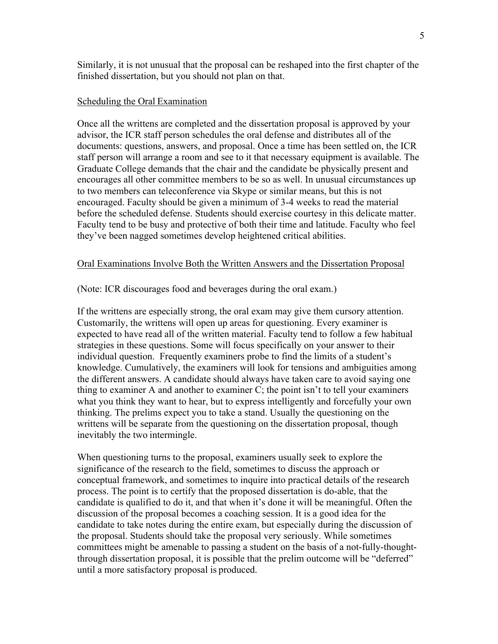Similarly, it is not unusual that the proposal can be reshaped into the first chapter of the finished dissertation, but you should not plan on that.

#### Scheduling the Oral Examination

Once all the writtens are completed and the dissertation proposal is approved by your advisor, the ICR staff person schedules the oral defense and distributes all of the documents: questions, answers, and proposal. Once a time has been settled on, the ICR staff person will arrange a room and see to it that necessary equipment is available. The Graduate College demands that the chair and the candidate be physically present and encourages all other committee members to be so as well. In unusual circumstances up to two members can teleconference via Skype or similar means, but this is not encouraged. Faculty should be given a minimum of 3-4 weeks to read the material before the scheduled defense. Students should exercise courtesy in this delicate matter. Faculty tend to be busy and protective of both their time and latitude. Faculty who feel they've been nagged sometimes develop heightened critical abilities.

### Oral Examinations Involve Both the Written Answers and the Dissertation Proposal

#### (Note: ICR discourages food and beverages during the oral exam.)

If the writtens are especially strong, the oral exam may give them cursory attention. Customarily, the writtens will open up areas for questioning. Every examiner is expected to have read all of the written material. Faculty tend to follow a few habitual strategies in these questions. Some will focus specifically on your answer to their individual question. Frequently examiners probe to find the limits of a student's knowledge. Cumulatively, the examiners will look for tensions and ambiguities among the different answers. A candidate should always have taken care to avoid saying one thing to examiner A and another to examiner C; the point isn't to tell your examiners what you think they want to hear, but to express intelligently and forcefully your own thinking. The prelims expect you to take a stand. Usually the questioning on the writtens will be separate from the questioning on the dissertation proposal, though inevitably the two intermingle.

When questioning turns to the proposal, examiners usually seek to explore the significance of the research to the field, sometimes to discuss the approach or conceptual framework, and sometimes to inquire into practical details of the research process. The point is to certify that the proposed dissertation is do-able, that the candidate is qualified to do it, and that when it's done it will be meaningful. Often the discussion of the proposal becomes a coaching session. It is a good idea for the candidate to take notes during the entire exam, but especially during the discussion of the proposal. Students should take the proposal very seriously. While sometimes committees might be amenable to passing a student on the basis of a not-fully-thoughtthrough dissertation proposal, it is possible that the prelim outcome will be "deferred" until a more satisfactory proposal is produced.